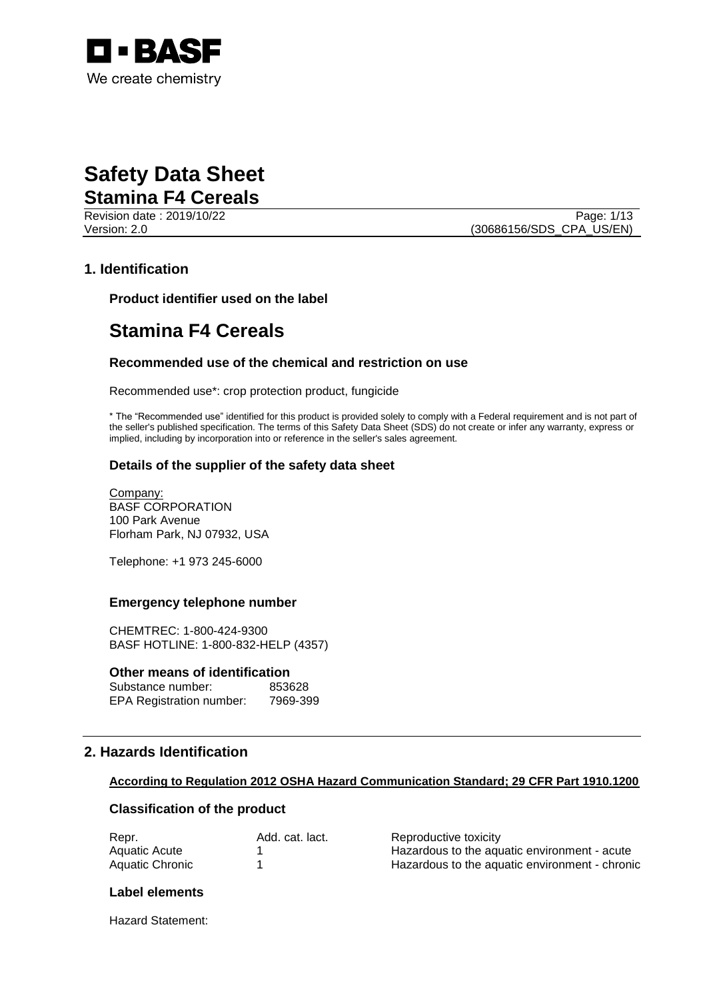

Revision date : 2019/10/22 Page: 1/13 Version: 2.0 (30686156/SDS\_CPA\_US/EN)

## **1. Identification**

**Product identifier used on the label**

# **Stamina F4 Cereals**

#### **Recommended use of the chemical and restriction on use**

Recommended use\*: crop protection product, fungicide

\* The "Recommended use" identified for this product is provided solely to comply with a Federal requirement and is not part of the seller's published specification. The terms of this Safety Data Sheet (SDS) do not create or infer any warranty, express or implied, including by incorporation into or reference in the seller's sales agreement.

#### **Details of the supplier of the safety data sheet**

Company: BASF CORPORATION 100 Park Avenue Florham Park, NJ 07932, USA

Telephone: +1 973 245-6000

#### **Emergency telephone number**

CHEMTREC: 1-800-424-9300 BASF HOTLINE: 1-800-832-HELP (4357)

#### **Other means of identification**

Substance number: 853628 EPA Registration number: 7969-399

## **2. Hazards Identification**

#### **According to Regulation 2012 OSHA Hazard Communication Standard; 29 CFR Part 1910.1200**

#### **Classification of the product**

| Repr.           | Add. cat. lact. | Reproductive toxicity                          |
|-----------------|-----------------|------------------------------------------------|
| Aquatic Acute   |                 | Hazardous to the aguatic environment - acute   |
| Aquatic Chronic |                 | Hazardous to the aquatic environment - chronic |

#### **Label elements**

Hazard Statement: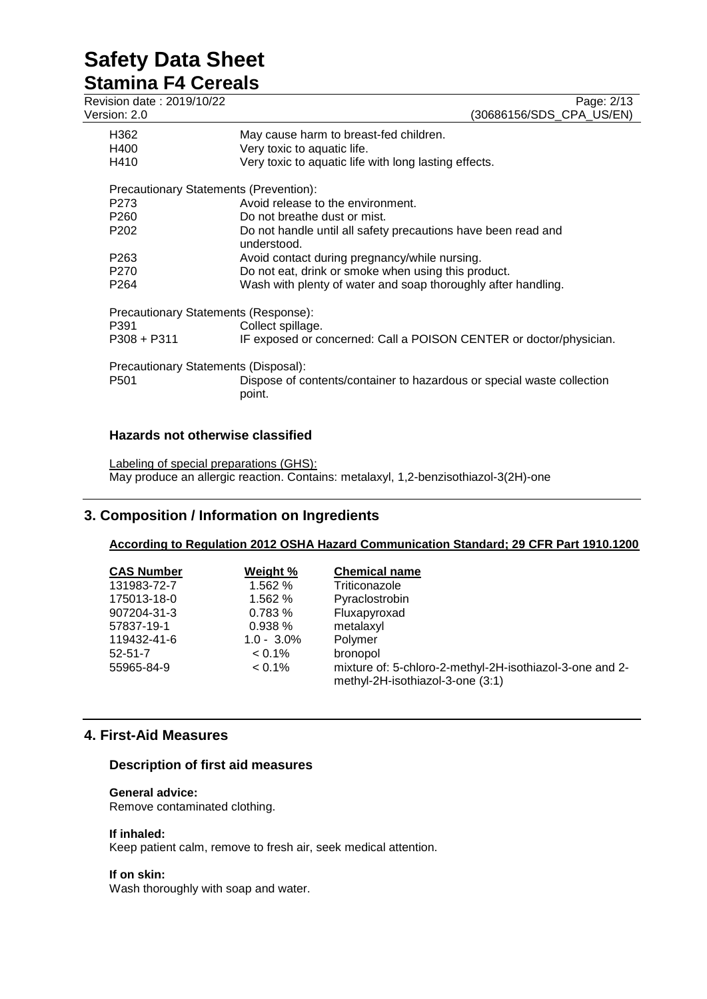# **Stamina F4 Cereals**

| Revision date: 2019/10/22<br>Version: 2.0 | Page: 2/13<br>(30686156/SDS_CPA_US/EN)                                           |
|-------------------------------------------|----------------------------------------------------------------------------------|
| H362                                      | May cause harm to breast-fed children.                                           |
| H400                                      | Very toxic to aquatic life.                                                      |
| H410                                      | Very toxic to aquatic life with long lasting effects.                            |
| Precautionary Statements (Prevention):    |                                                                                  |
| P <sub>273</sub>                          | Avoid release to the environment.                                                |
| P <sub>260</sub>                          | Do not breathe dust or mist.                                                     |
| P <sub>202</sub>                          | Do not handle until all safety precautions have been read and<br>understood.     |
| P <sub>263</sub>                          | Avoid contact during pregnancy/while nursing.                                    |
| P <sub>270</sub>                          | Do not eat, drink or smoke when using this product.                              |
| P <sub>264</sub>                          | Wash with plenty of water and soap thoroughly after handling.                    |
| Precautionary Statements (Response):      |                                                                                  |
| P391                                      | Collect spillage.                                                                |
| P308 + P311                               | IF exposed or concerned: Call a POISON CENTER or doctor/physician.               |
| Precautionary Statements (Disposal):      |                                                                                  |
| P <sub>501</sub>                          | Dispose of contents/container to hazardous or special waste collection<br>point. |
|                                           |                                                                                  |

# **Hazards not otherwise classified**

Labeling of special preparations (GHS): May produce an allergic reaction. Contains: metalaxyl, 1,2-benzisothiazol-3(2H)-one

# **3. Composition / Information on Ingredients**

# **According to Regulation 2012 OSHA Hazard Communication Standard; 29 CFR Part 1910.1200**

| <b>CAS Number</b> | Weight %      | <b>Chemical name</b>                                                                         |
|-------------------|---------------|----------------------------------------------------------------------------------------------|
| 131983-72-7       | 1.562 %       | Triticonazole                                                                                |
| 175013-18-0       | 1.562 %       | Pyraclostrobin                                                                               |
| 907204-31-3       | 0.783%        | Fluxapyroxad                                                                                 |
| 57837-19-1        | 0.938%        | metalaxyl                                                                                    |
| 119432-41-6       | $1.0 - 3.0\%$ | Polymer                                                                                      |
| $52 - 51 - 7$     | $< 0.1\%$     | bronopol                                                                                     |
| 55965-84-9        | $< 0.1\%$     | mixture of: 5-chloro-2-methyl-2H-isothiazol-3-one and 2-<br>methyl-2H-isothiazol-3-one (3:1) |

# **4. First-Aid Measures**

# **Description of first aid measures**

#### **General advice:**

Remove contaminated clothing.

#### **If inhaled:**

Keep patient calm, remove to fresh air, seek medical attention.

#### **If on skin:**

Wash thoroughly with soap and water.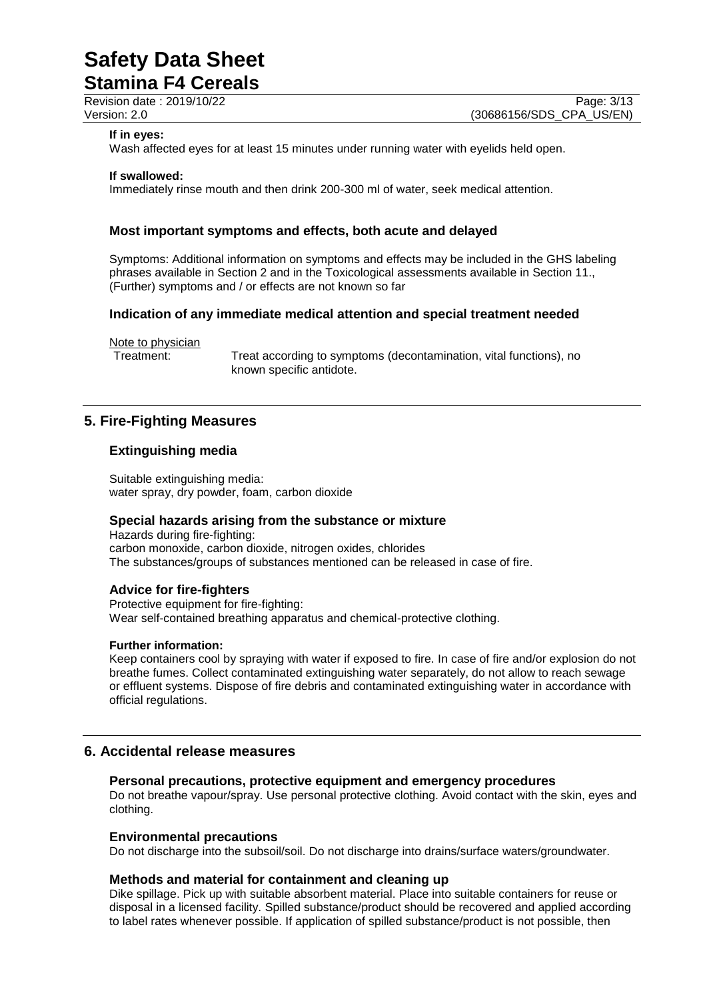**Stamina F4 Cereals**

Revision date : 2019/10/22 Page: 3/13<br>
Version: 2.0 (30686156/SDS CPA US/EN) (30686156/SDS\_CPA\_US/EN)

#### **If in eyes:**

Wash affected eyes for at least 15 minutes under running water with eyelids held open.

#### **If swallowed:**

Immediately rinse mouth and then drink 200-300 ml of water, seek medical attention.

#### **Most important symptoms and effects, both acute and delayed**

Symptoms: Additional information on symptoms and effects may be included in the GHS labeling phrases available in Section 2 and in the Toxicological assessments available in Section 11., (Further) symptoms and / or effects are not known so far

#### **Indication of any immediate medical attention and special treatment needed**

Note to physician

Treatment: Treat according to symptoms (decontamination, vital functions), no known specific antidote.

## **5. Fire-Fighting Measures**

#### **Extinguishing media**

Suitable extinguishing media: water spray, dry powder, foam, carbon dioxide

#### **Special hazards arising from the substance or mixture**

Hazards during fire-fighting: carbon monoxide, carbon dioxide, nitrogen oxides, chlorides The substances/groups of substances mentioned can be released in case of fire.

#### **Advice for fire-fighters**

Protective equipment for fire-fighting: Wear self-contained breathing apparatus and chemical-protective clothing.

#### **Further information:**

Keep containers cool by spraying with water if exposed to fire. In case of fire and/or explosion do not breathe fumes. Collect contaminated extinguishing water separately, do not allow to reach sewage or effluent systems. Dispose of fire debris and contaminated extinguishing water in accordance with official regulations.

### **6. Accidental release measures**

#### **Personal precautions, protective equipment and emergency procedures**

Do not breathe vapour/spray. Use personal protective clothing. Avoid contact with the skin, eyes and clothing.

#### **Environmental precautions**

Do not discharge into the subsoil/soil. Do not discharge into drains/surface waters/groundwater.

#### **Methods and material for containment and cleaning up**

Dike spillage. Pick up with suitable absorbent material. Place into suitable containers for reuse or disposal in a licensed facility. Spilled substance/product should be recovered and applied according to label rates whenever possible. If application of spilled substance/product is not possible, then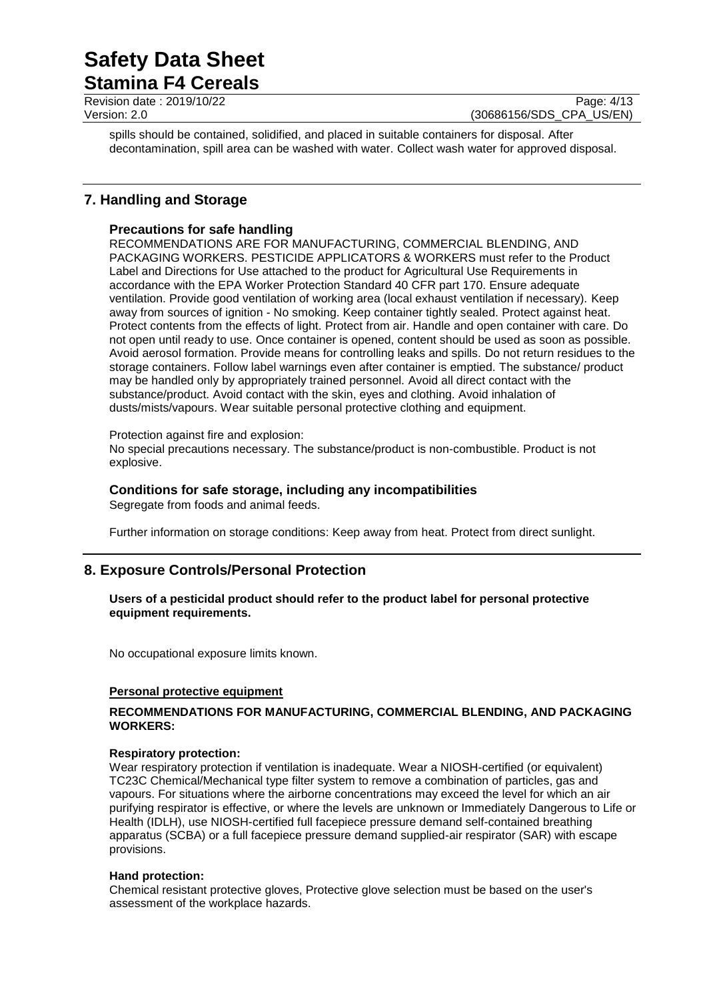**Stamina F4 Cereals**

Revision date : 2019/10/22 Page: 4/13<br>
Version: 2.0 (30686156/SDS CPA US/EN) (30686156/SDS\_CPA\_US/EN)

spills should be contained, solidified, and placed in suitable containers for disposal. After decontamination, spill area can be washed with water. Collect wash water for approved disposal.

# **7. Handling and Storage**

### **Precautions for safe handling**

RECOMMENDATIONS ARE FOR MANUFACTURING, COMMERCIAL BLENDING, AND PACKAGING WORKERS. PESTICIDE APPLICATORS & WORKERS must refer to the Product Label and Directions for Use attached to the product for Agricultural Use Requirements in accordance with the EPA Worker Protection Standard 40 CFR part 170. Ensure adequate ventilation. Provide good ventilation of working area (local exhaust ventilation if necessary). Keep away from sources of ignition - No smoking. Keep container tightly sealed. Protect against heat. Protect contents from the effects of light. Protect from air. Handle and open container with care. Do not open until ready to use. Once container is opened, content should be used as soon as possible. Avoid aerosol formation. Provide means for controlling leaks and spills. Do not return residues to the storage containers. Follow label warnings even after container is emptied. The substance/ product may be handled only by appropriately trained personnel. Avoid all direct contact with the substance/product. Avoid contact with the skin, eyes and clothing. Avoid inhalation of dusts/mists/vapours. Wear suitable personal protective clothing and equipment.

#### Protection against fire and explosion:

No special precautions necessary. The substance/product is non-combustible. Product is not explosive.

# **Conditions for safe storage, including any incompatibilities**

Segregate from foods and animal feeds.

Further information on storage conditions: Keep away from heat. Protect from direct sunlight.

# **8. Exposure Controls/Personal Protection**

#### **Users of a pesticidal product should refer to the product label for personal protective equipment requirements.**

No occupational exposure limits known.

#### **Personal protective equipment**

#### **RECOMMENDATIONS FOR MANUFACTURING, COMMERCIAL BLENDING, AND PACKAGING WORKERS:**

#### **Respiratory protection:**

Wear respiratory protection if ventilation is inadequate. Wear a NIOSH-certified (or equivalent) TC23C Chemical/Mechanical type filter system to remove a combination of particles, gas and vapours. For situations where the airborne concentrations may exceed the level for which an air purifying respirator is effective, or where the levels are unknown or Immediately Dangerous to Life or Health (IDLH), use NIOSH-certified full facepiece pressure demand self-contained breathing apparatus (SCBA) or a full facepiece pressure demand supplied-air respirator (SAR) with escape provisions.

#### **Hand protection:**

Chemical resistant protective gloves, Protective glove selection must be based on the user's assessment of the workplace hazards.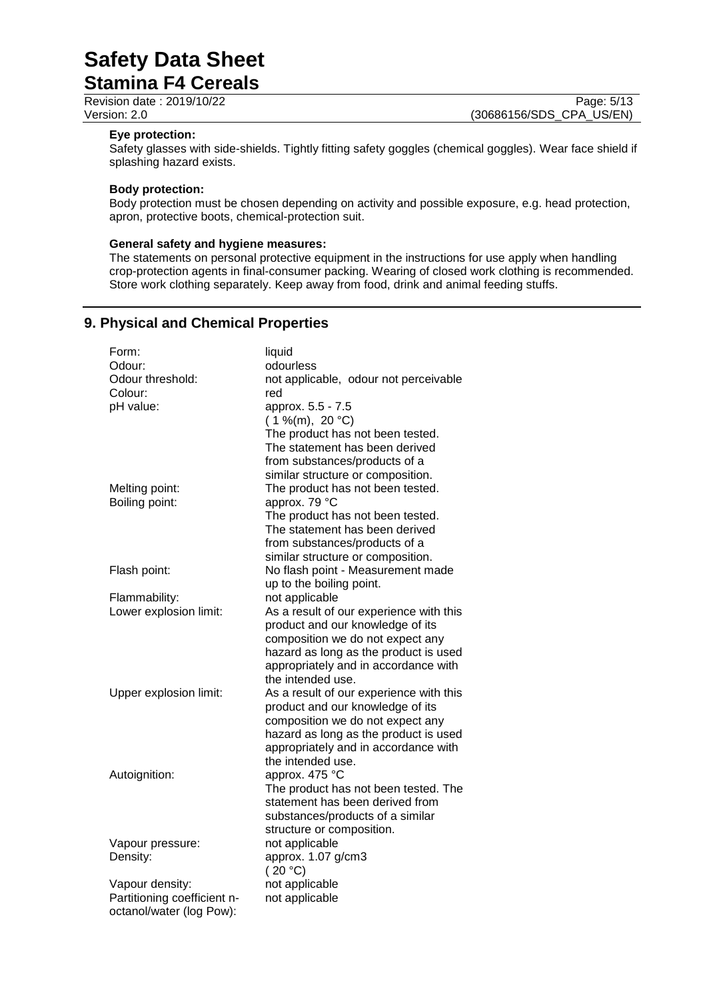| <b>Oldiffice Lation</b>   |                          |
|---------------------------|--------------------------|
| Revision date: 2019/10/22 | Page: 5/13               |
| Version: 2.0              | (30686156/SDS CPA US/EN) |

#### **Eye protection:**

Safety glasses with side-shields. Tightly fitting safety goggles (chemical goggles). Wear face shield if splashing hazard exists.

#### **Body protection:**

Body protection must be chosen depending on activity and possible exposure, e.g. head protection, apron, protective boots, chemical-protection suit.

#### **General safety and hygiene measures:**

The statements on personal protective equipment in the instructions for use apply when handling crop-protection agents in final-consumer packing. Wearing of closed work clothing is recommended. Store work clothing separately. Keep away from food, drink and animal feeding stuffs.

## **9. Physical and Chemical Properties**

| Form:                       | liquid                                  |  |  |
|-----------------------------|-----------------------------------------|--|--|
| Odour:                      | odourless                               |  |  |
| Odour threshold:            | not applicable, odour not perceivable   |  |  |
| Colour:                     | red                                     |  |  |
| pH value:                   | approx. 5.5 - 7.5                       |  |  |
|                             | $(1\%$ (m), 20 °C)                      |  |  |
|                             | The product has not been tested.        |  |  |
|                             | The statement has been derived          |  |  |
|                             | from substances/products of a           |  |  |
|                             | similar structure or composition.       |  |  |
| Melting point:              | The product has not been tested.        |  |  |
| Boiling point:              | approx. 79 °C                           |  |  |
|                             | The product has not been tested.        |  |  |
|                             | The statement has been derived          |  |  |
|                             | from substances/products of a           |  |  |
|                             | similar structure or composition.       |  |  |
| Flash point:                | No flash point - Measurement made       |  |  |
|                             | up to the boiling point.                |  |  |
| Flammability:               | not applicable                          |  |  |
| Lower explosion limit:      | As a result of our experience with this |  |  |
|                             | product and our knowledge of its        |  |  |
|                             | composition we do not expect any        |  |  |
|                             | hazard as long as the product is used   |  |  |
|                             | appropriately and in accordance with    |  |  |
|                             | the intended use.                       |  |  |
|                             |                                         |  |  |
| Upper explosion limit:      | As a result of our experience with this |  |  |
|                             | product and our knowledge of its        |  |  |
|                             | composition we do not expect any        |  |  |
|                             | hazard as long as the product is used   |  |  |
|                             | appropriately and in accordance with    |  |  |
|                             | the intended use.                       |  |  |
| Autoignition:               | approx. 475 °C                          |  |  |
|                             | The product has not been tested. The    |  |  |
|                             | statement has been derived from         |  |  |
|                             | substances/products of a similar        |  |  |
|                             | structure or composition.               |  |  |
| Vapour pressure:            | not applicable                          |  |  |
| Density:                    | approx. 1.07 g/cm3                      |  |  |
|                             | (20 °C)                                 |  |  |
| Vapour density:             | not applicable                          |  |  |
| Partitioning coefficient n- | not applicable                          |  |  |
| octanol/water (log Pow):    |                                         |  |  |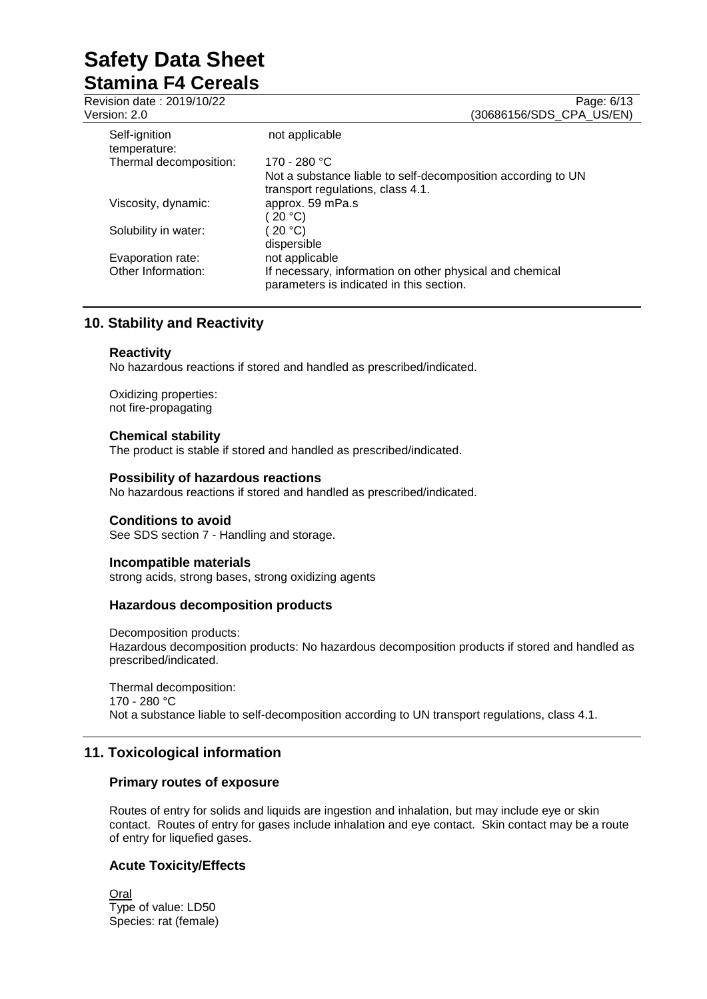Revision date : 2019/10/22 Page: 6/13<br>
Version: 2.0 (30686156/SDS CPA US/EN) (30686156/SDS\_CPA\_US/EN) Self-ignition temperature: not applicable Thermal decomposition: 170 - 280 °C Not a substance liable to self-decomposition according to UN transport regulations, class 4.1.<br>approx. 59 mPa.s Viscosity, dynamic:  $( 20 °C)$ <br>(  $20 °C)$ Solubility in water: dispersible<br>not applicable Evaporation rate:<br>Other Information: If necessary, information on other physical and chemical parameters is indicated in this section.

## **10. Stability and Reactivity**

#### **Reactivity**

No hazardous reactions if stored and handled as prescribed/indicated.

Oxidizing properties: not fire-propagating

#### **Chemical stability**

The product is stable if stored and handled as prescribed/indicated.

#### **Possibility of hazardous reactions**

No hazardous reactions if stored and handled as prescribed/indicated.

#### **Conditions to avoid**

See SDS section 7 - Handling and storage.

#### **Incompatible materials**

strong acids, strong bases, strong oxidizing agents

#### **Hazardous decomposition products**

Decomposition products: Hazardous decomposition products: No hazardous decomposition products if stored and handled as prescribed/indicated.

Thermal decomposition: 170 - 280 °C Not a substance liable to self-decomposition according to UN transport regulations, class 4.1.

## **11. Toxicological information**

#### **Primary routes of exposure**

Routes of entry for solids and liquids are ingestion and inhalation, but may include eye or skin contact. Routes of entry for gases include inhalation and eye contact. Skin contact may be a route of entry for liquefied gases.

#### **Acute Toxicity/Effects**

Oral Type of value: LD50 Species: rat (female)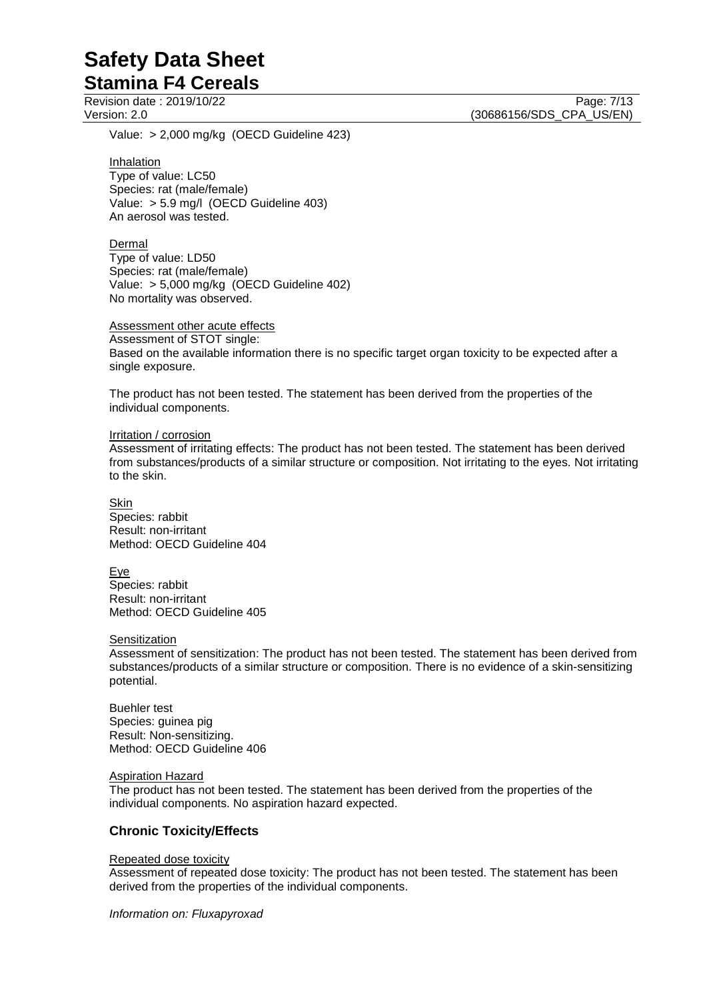Revision date : 2019/10/22 Page: 7/13<br>
Version: 2.0 (30686156/SDS CPA US/EN) (30686156/SDS\_CPA\_US/EN)

Value: > 2,000 mg/kg (OECD Guideline 423)

**Inhalation** 

Type of value: LC50 Species: rat (male/female) Value: > 5.9 mg/l (OECD Guideline 403) An aerosol was tested.

Dermal

Type of value: LD50 Species: rat (male/female) Value: > 5,000 mg/kg (OECD Guideline 402) No mortality was observed.

Assessment other acute effects Assessment of STOT single: Based on the available information there is no specific target organ toxicity to be expected after a single exposure.

The product has not been tested. The statement has been derived from the properties of the individual components.

Irritation / corrosion

Assessment of irritating effects: The product has not been tested. The statement has been derived from substances/products of a similar structure or composition. Not irritating to the eyes. Not irritating to the skin.

Skin Species: rabbit Result: non-irritant Method: OECD Guideline 404

Eye Species: rabbit Result: non-irritant Method: OECD Guideline 405

**Sensitization** 

Assessment of sensitization: The product has not been tested. The statement has been derived from substances/products of a similar structure or composition. There is no evidence of a skin-sensitizing potential.

Buehler test Species: guinea pig Result: Non-sensitizing. Method: OECD Guideline 406

Aspiration Hazard

The product has not been tested. The statement has been derived from the properties of the individual components. No aspiration hazard expected.

#### **Chronic Toxicity/Effects**

#### Repeated dose toxicity

Assessment of repeated dose toxicity: The product has not been tested. The statement has been derived from the properties of the individual components.

*Information on: Fluxapyroxad*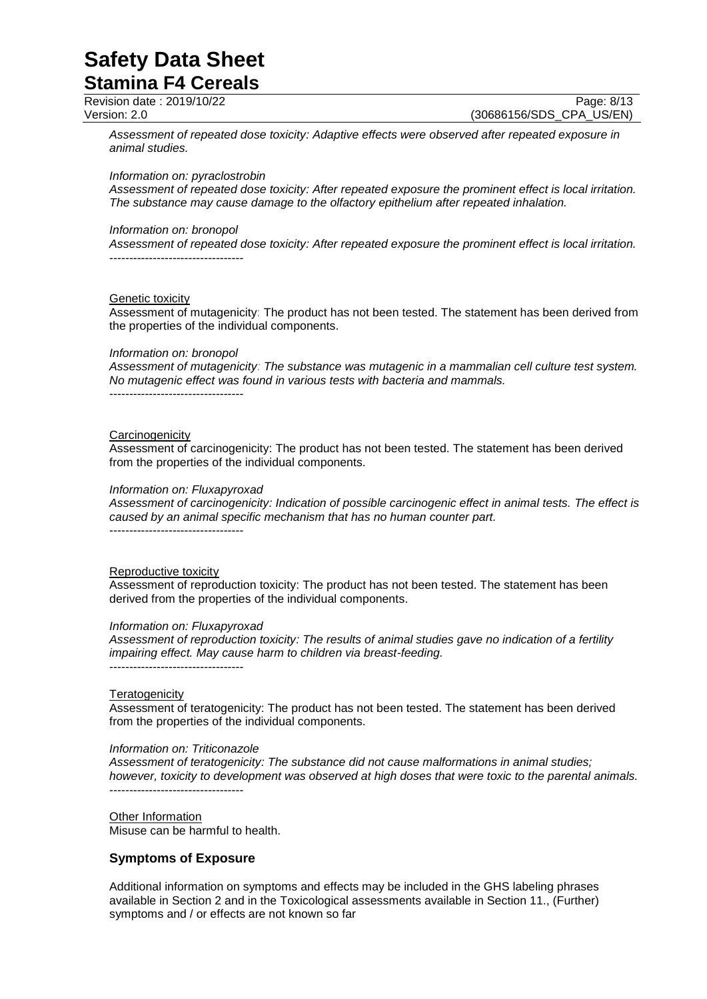**Stamina F4 Cereals**

Revision date : 2019/10/22 Page: 8/13<br>
Version: 2.0 (30686156/SDS\_CPA\_US/EN) (30686156/SDS CPA US/EN)

*Assessment of repeated dose toxicity: Adaptive effects were observed after repeated exposure in animal studies.*

*Information on: pyraclostrobin*

*Assessment of repeated dose toxicity: After repeated exposure the prominent effect is local irritation. The substance may cause damage to the olfactory epithelium after repeated inhalation.*

#### *Information on: bronopol*

*Assessment of repeated dose toxicity: After repeated exposure the prominent effect is local irritation.* ----------------------------------

#### Genetic toxicity

Assessment of mutagenicity: The product has not been tested. The statement has been derived from the properties of the individual components.

#### *Information on: bronopol*

*Assessment of mutagenicity: The substance was mutagenic in a mammalian cell culture test system. No mutagenic effect was found in various tests with bacteria and mammals.* ----------------------------------

#### **Carcinogenicity**

Assessment of carcinogenicity: The product has not been tested. The statement has been derived from the properties of the individual components.

#### *Information on: Fluxapyroxad*

*Assessment of carcinogenicity: Indication of possible carcinogenic effect in animal tests. The effect is caused by an animal specific mechanism that has no human counter part.*

----------------------------------

#### Reproductive toxicity

Assessment of reproduction toxicity: The product has not been tested. The statement has been derived from the properties of the individual components.

#### *Information on: Fluxapyroxad*

*Assessment of reproduction toxicity: The results of animal studies gave no indication of a fertility impairing effect. May cause harm to children via breast-feeding.* ----------------------------------

#### **Teratogenicity**

Assessment of teratogenicity: The product has not been tested. The statement has been derived from the properties of the individual components.

#### *Information on: Triticonazole*

*Assessment of teratogenicity: The substance did not cause malformations in animal studies; however, toxicity to development was observed at high doses that were toxic to the parental animals.* ----------------------------------

**Other Information** Misuse can be harmful to health.

#### **Symptoms of Exposure**

Additional information on symptoms and effects may be included in the GHS labeling phrases available in Section 2 and in the Toxicological assessments available in Section 11., (Further) symptoms and / or effects are not known so far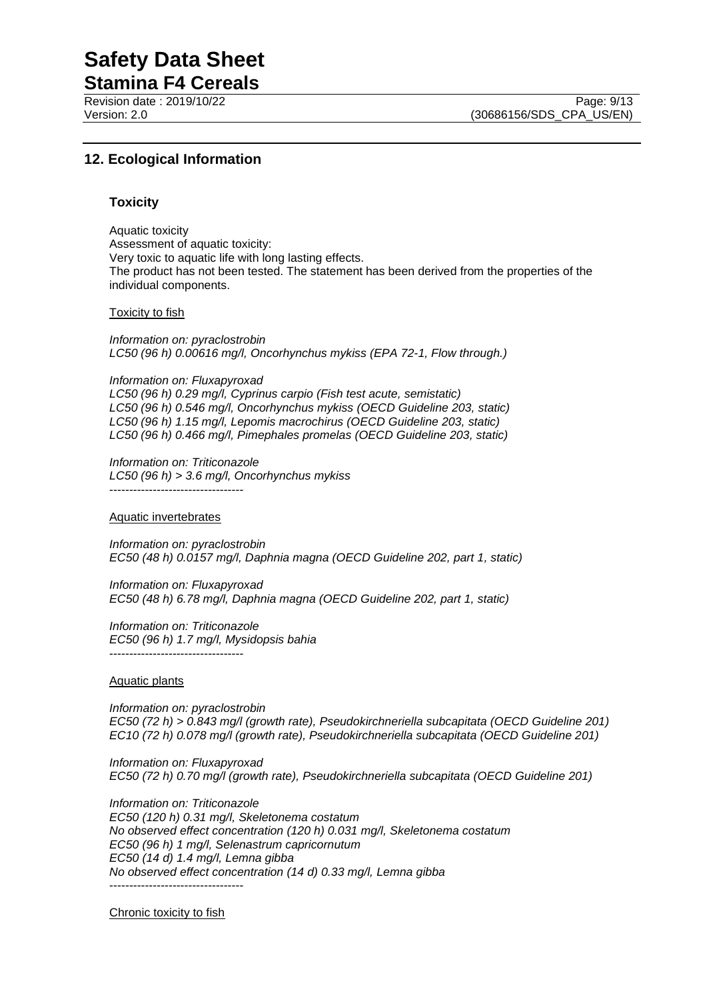**Stamina F4 Cereals** Revision date : 2019/10/22 Page: 9/13<br>
Version: 2.0 (30686156/SDS CPA US/EN)

# **12. Ecological Information**

#### **Toxicity**

Aquatic toxicity Assessment of aquatic toxicity: Very toxic to aquatic life with long lasting effects. The product has not been tested. The statement has been derived from the properties of the individual components.

#### Toxicity to fish

*Information on: pyraclostrobin LC50 (96 h) 0.00616 mg/l, Oncorhynchus mykiss (EPA 72-1, Flow through.)*

*Information on: Fluxapyroxad LC50 (96 h) 0.29 mg/l, Cyprinus carpio (Fish test acute, semistatic) LC50 (96 h) 0.546 mg/l, Oncorhynchus mykiss (OECD Guideline 203, static) LC50 (96 h) 1.15 mg/l, Lepomis macrochirus (OECD Guideline 203, static) LC50 (96 h) 0.466 mg/l, Pimephales promelas (OECD Guideline 203, static)*

*Information on: Triticonazole LC50 (96 h) > 3.6 mg/l, Oncorhynchus mykiss* ----------------------------------

#### Aquatic invertebrates

*Information on: pyraclostrobin EC50 (48 h) 0.0157 mg/l, Daphnia magna (OECD Guideline 202, part 1, static)*

*Information on: Fluxapyroxad EC50 (48 h) 6.78 mg/l, Daphnia magna (OECD Guideline 202, part 1, static)*

*Information on: Triticonazole EC50 (96 h) 1.7 mg/l, Mysidopsis bahia* ----------------------------------

#### Aquatic plants

*Information on: pyraclostrobin EC50 (72 h) > 0.843 mg/l (growth rate), Pseudokirchneriella subcapitata (OECD Guideline 201) EC10 (72 h) 0.078 mg/l (growth rate), Pseudokirchneriella subcapitata (OECD Guideline 201)*

*Information on: Fluxapyroxad EC50 (72 h) 0.70 mg/l (growth rate), Pseudokirchneriella subcapitata (OECD Guideline 201)*

*Information on: Triticonazole EC50 (120 h) 0.31 mg/l, Skeletonema costatum No observed effect concentration (120 h) 0.031 mg/l, Skeletonema costatum EC50 (96 h) 1 mg/l, Selenastrum capricornutum EC50 (14 d) 1.4 mg/l, Lemna gibba No observed effect concentration (14 d) 0.33 mg/l, Lemna gibba* ----------------------------------

Chronic toxicity to fish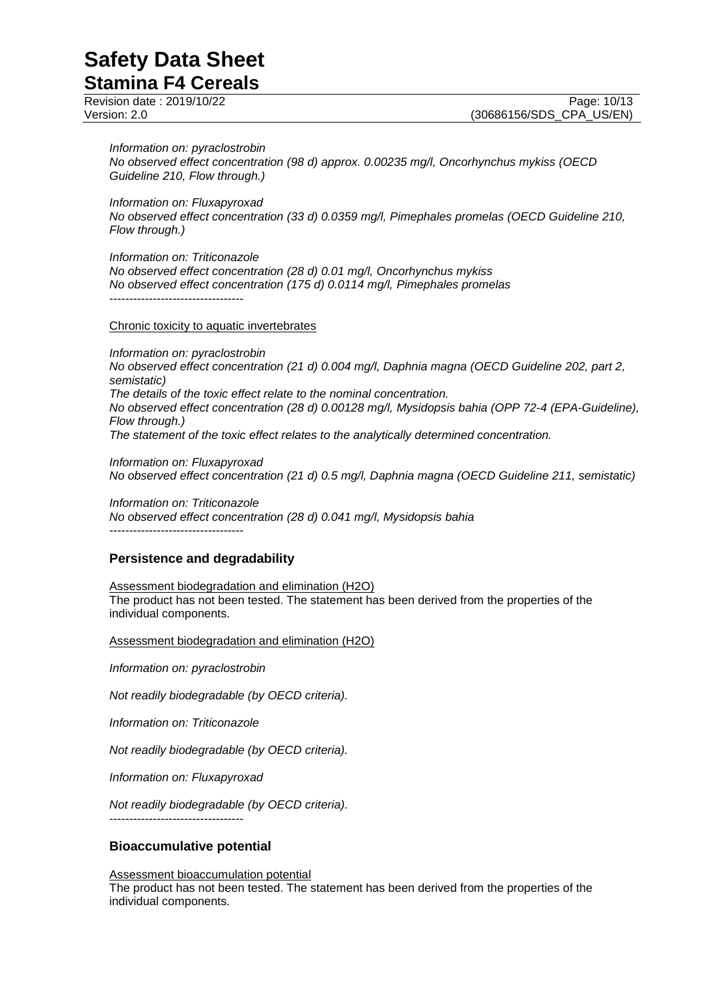**Stamina F4 Cereals**

#### *Information on: pyraclostrobin*

*No observed effect concentration (98 d) approx. 0.00235 mg/l, Oncorhynchus mykiss (OECD Guideline 210, Flow through.)*

*Information on: Fluxapyroxad*

*No observed effect concentration (33 d) 0.0359 mg/l, Pimephales promelas (OECD Guideline 210, Flow through.)*

*Information on: Triticonazole*

*No observed effect concentration (28 d) 0.01 mg/l, Oncorhynchus mykiss No observed effect concentration (175 d) 0.0114 mg/l, Pimephales promelas* ----------------------------------

Chronic toxicity to aquatic invertebrates

*Information on: pyraclostrobin No observed effect concentration (21 d) 0.004 mg/l, Daphnia magna (OECD Guideline 202, part 2, semistatic) The details of the toxic effect relate to the nominal concentration. No observed effect concentration (28 d) 0.00128 mg/l, Mysidopsis bahia (OPP 72-4 (EPA-Guideline), Flow through.) The statement of the toxic effect relates to the analytically determined concentration.*

*Information on: Fluxapyroxad No observed effect concentration (21 d) 0.5 mg/l, Daphnia magna (OECD Guideline 211, semistatic)*

*Information on: Triticonazole No observed effect concentration (28 d) 0.041 mg/l, Mysidopsis bahia* ----------------------------------

#### **Persistence and degradability**

Assessment biodegradation and elimination (H2O) The product has not been tested. The statement has been derived from the properties of the individual components.

Assessment biodegradation and elimination (H2O)

*Information on: pyraclostrobin*

*Not readily biodegradable (by OECD criteria).*

*Information on: Triticonazole*

*Not readily biodegradable (by OECD criteria).*

*Information on: Fluxapyroxad*

*Not readily biodegradable (by OECD criteria).*

----------------------------------

#### **Bioaccumulative potential**

Assessment bioaccumulation potential The product has not been tested. The statement has been derived from the properties of the individual components.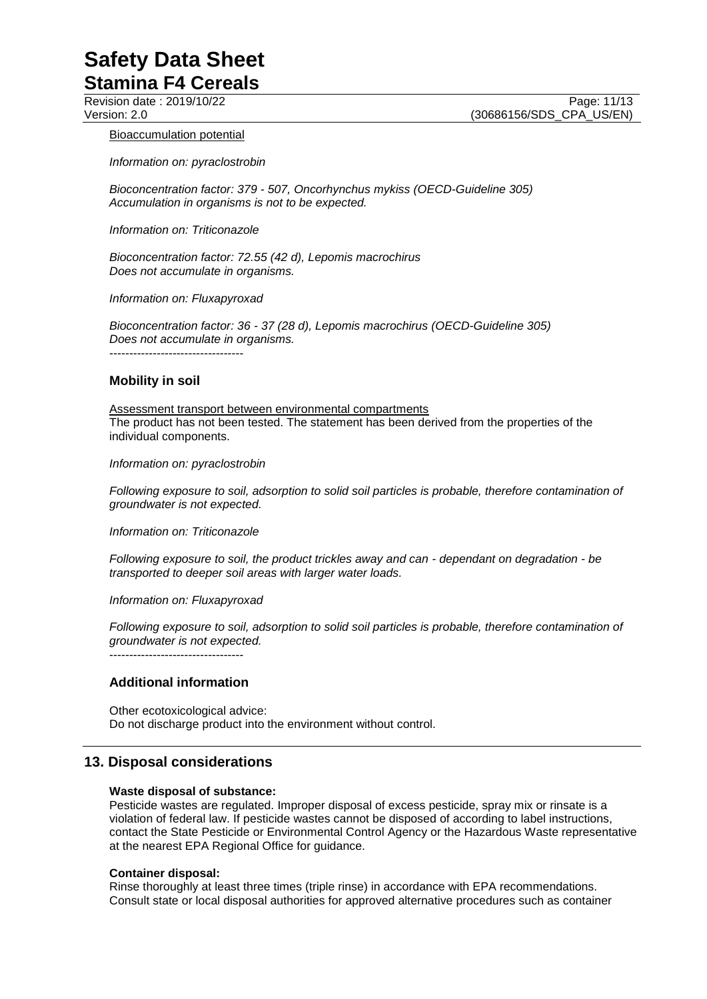#### Bioaccumulation potential

*Information on: pyraclostrobin*

*Bioconcentration factor: 379 - 507, Oncorhynchus mykiss (OECD-Guideline 305) Accumulation in organisms is not to be expected.*

*Information on: Triticonazole*

*Bioconcentration factor: 72.55 (42 d), Lepomis macrochirus Does not accumulate in organisms.*

*Information on: Fluxapyroxad*

*Bioconcentration factor: 36 - 37 (28 d), Lepomis macrochirus (OECD-Guideline 305) Does not accumulate in organisms.* ----------------------------------

#### **Mobility in soil**

Assessment transport between environmental compartments The product has not been tested. The statement has been derived from the properties of the individual components.

*Information on: pyraclostrobin*

*Following exposure to soil, adsorption to solid soil particles is probable, therefore contamination of groundwater is not expected.*

*Information on: Triticonazole*

*Following exposure to soil, the product trickles away and can - dependant on degradation - be transported to deeper soil areas with larger water loads.*

*Information on: Fluxapyroxad*

*Following exposure to soil, adsorption to solid soil particles is probable, therefore contamination of groundwater is not expected.*

----------------------------------

#### **Additional information**

Other ecotoxicological advice: Do not discharge product into the environment without control.

#### **13. Disposal considerations**

#### **Waste disposal of substance:**

Pesticide wastes are regulated. Improper disposal of excess pesticide, spray mix or rinsate is a violation of federal law. If pesticide wastes cannot be disposed of according to label instructions, contact the State Pesticide or Environmental Control Agency or the Hazardous Waste representative at the nearest EPA Regional Office for guidance.

#### **Container disposal:**

Rinse thoroughly at least three times (triple rinse) in accordance with EPA recommendations. Consult state or local disposal authorities for approved alternative procedures such as container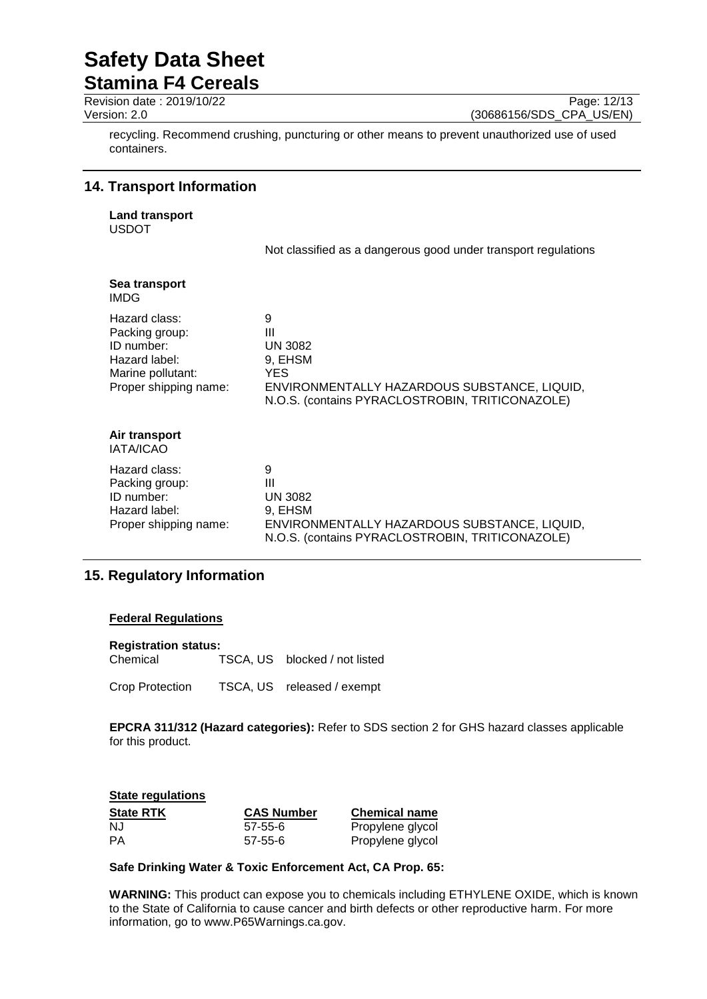**Stamina F4 Cereals**

Revision date : 2019/10/22 Page: 12/13<br>
Version: 2.0 (30686156/SDS CPA US/EN) (30686156/SDS\_CPA\_US/EN)

recycling. Recommend crushing, puncturing or other means to prevent unauthorized use of used containers.

## **14. Transport Information**

**Land transport** USDOT

Not classified as a dangerous good under transport regulations

| Sea transport<br><b>IMDG</b>                                                                                 |                                                                                                                                         |
|--------------------------------------------------------------------------------------------------------------|-----------------------------------------------------------------------------------------------------------------------------------------|
| Hazard class:<br>Packing group:<br>ID number:<br>Hazard label:<br>Marine pollutant:<br>Proper shipping name: | 9<br>Ш<br>UN 3082<br>9, EHSM<br>YES.<br>ENVIRONMENTALLY HAZARDOUS SUBSTANCE, LIQUID,<br>N.O.S. (contains PYRACLOSTROBIN, TRITICONAZOLE) |
| Air transport<br><b>IATA/ICAO</b>                                                                            |                                                                                                                                         |
| Hazard class:<br>Packing group:<br>ID number:<br>Hazard label:<br>Proper shipping name:                      | 9<br>Ш<br>UN 3082<br>9, EHSM<br>ENVIRONMENTALLY HAZARDOUS SUBSTANCE, LIQUID,<br>N.O.S. (contains PYRACLOSTROBIN, TRITICONAZOLE)         |

# **15. Regulatory Information**

#### **Federal Regulations**

**Registration status:** Chemical TSCA, US blocked / not listed

Crop Protection TSCA, US released / exempt

**EPCRA 311/312 (Hazard categories):** Refer to SDS section 2 for GHS hazard classes applicable for this product.

| <b>State regulations</b> |                   |                      |  |
|--------------------------|-------------------|----------------------|--|
| <b>State RTK</b>         | <b>CAS Number</b> | <b>Chemical name</b> |  |
| N.J                      | 57-55-6           | Propylene glycol     |  |
| PА                       | $57 - 55 - 6$     | Propylene glycol     |  |

#### **Safe Drinking Water & Toxic Enforcement Act, CA Prop. 65:**

**WARNING:** This product can expose you to chemicals including ETHYLENE OXIDE, which is known to the State of California to cause cancer and birth defects or other reproductive harm. For more information, go to www.P65Warnings.ca.gov.